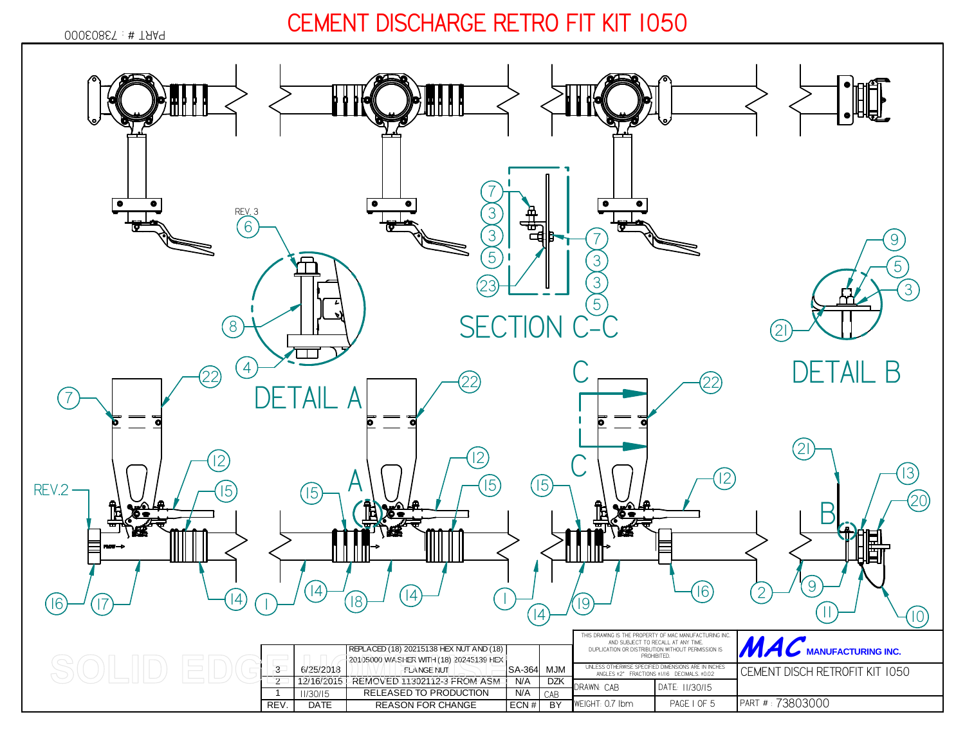*73803000* PART # :

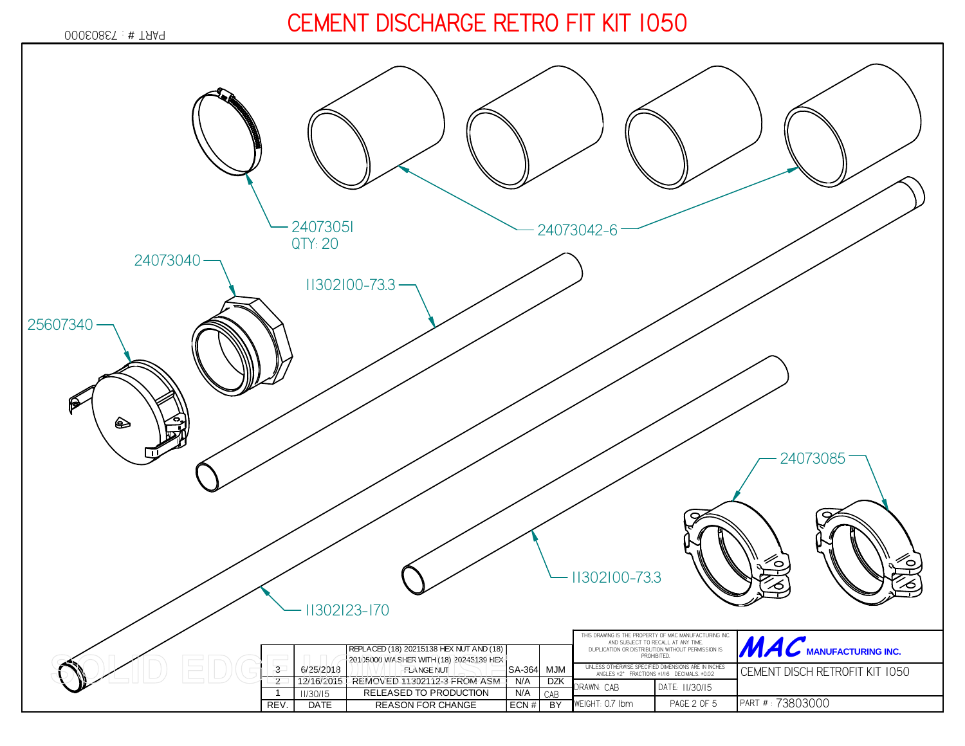*73803000* PART # :

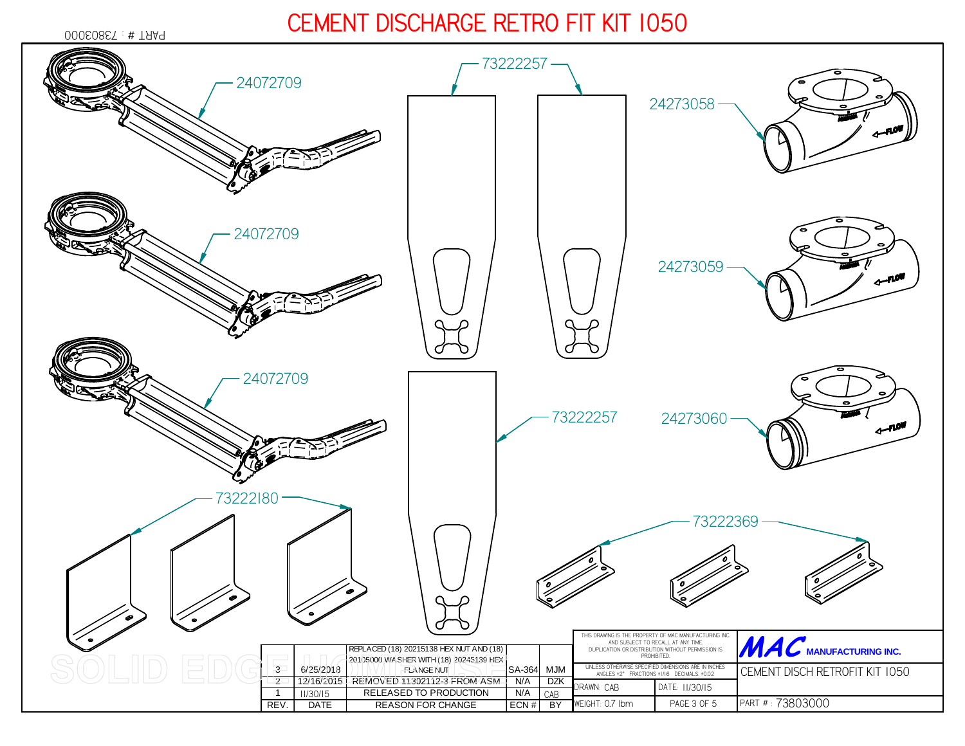*73803000* PART # :

*7322225724072709242730582407270924273059*∼ *240727097322225724273060*الاور ∼ *7322218073222369*THIS DRAWING IS THE PROPERTY OF MAC MANUFACTURING INC. AND SUBJECT TO RECALL AT ANY TIME. DUPLICATION OR DISTRIBUTION WITHOUT PERMISSION ISWE WANT THE **MANUFACTURING INC.** REPLACED (18) 20215138 HEX NUT AND (18) PROHIBITED.20105000 WASHER WITH (18) 20245139 HEX  $\frac{3}{2}$  6/25/2018 FLANGE NUTSA-364 MJM<br>N/A DZK UNLESS OTHERWISE SPECIFIED DIMENSIONS ARE IN INCHES ANGLES ±2° FRACTIONS ±1/16 DECIMALS. ±0.02 *CEMENT DISCH RETROFIT KIT 1050*12/16/2015 <sup>2</sup> 12/16/2015 REMOVED 11302112-3 FROM ASM N/A DZK**DZK** DRAWN:*CAB* DATE:*11/30/1511/30/15* $CAB$ 1 11/30/15 RELEASED TO PRODUCTION N/A CAB *PAGE 3 OF 5*REV. DATE REASON FOR CHANGE PART # : *73803000*ECN#  $BY$ WEIGHT:*0.7 lbm*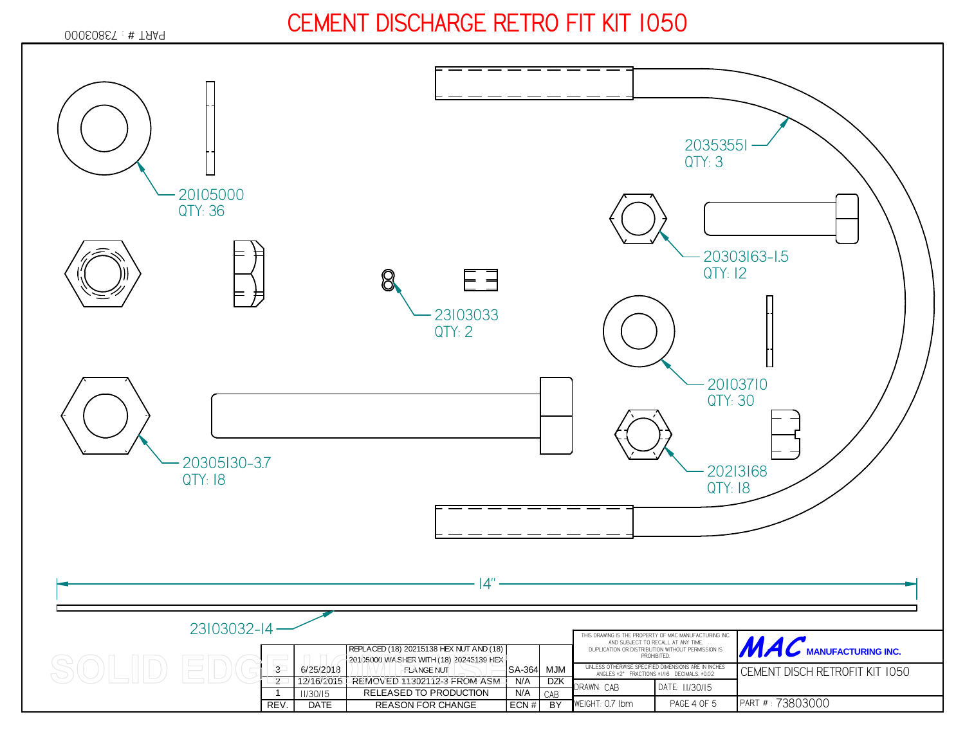